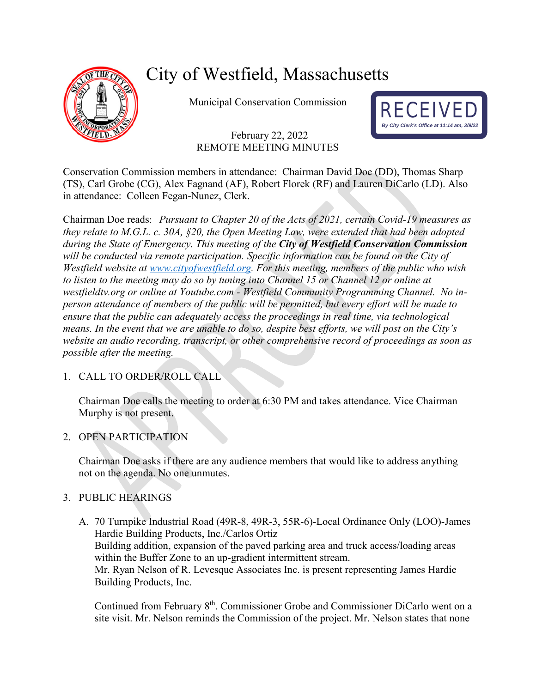

# City of Westfield, Massachusetts

Municipal Conservation Commission

# February 22, 2022 REMOTE MEETING MINUTES



Conservation Commission members in attendance: Chairman David Doe (DD), Thomas Sharp (TS), Carl Grobe (CG), Alex Fagnand (AF), Robert Florek (RF) and Lauren DiCarlo (LD). Also in attendance: Colleen Fegan-Nunez, Clerk.

Chairman Doe reads: *Pursuant to Chapter 20 of the Acts of 2021, certain Covid-19 measures as they relate to M.G.L. c. 30A, §20, the Open Meeting Law, were extended that had been adopted during the State of Emergency. This meeting of the City of Westfield Conservation Commission will be conducted via remote participation. Specific information can be found on the City of Westfield website at [www.cityofwestfield.org.](http://www.cityofwestfield.org/) For this meeting, members of the public who wish to listen to the meeting may do so by tuning into Channel 15 or Channel 12 or online at westfieldtv.org or online at Youtube.com - Westfield Community Programming Channel. No inperson attendance of members of the public will be permitted, but every effort will be made to ensure that the public can adequately access the proceedings in real time, via technological means. In the event that we are unable to do so, despite best efforts, we will post on the City's website an audio recording, transcript, or other comprehensive record of proceedings as soon as possible after the meeting.* 

# 1. CALL TO ORDER/ROLL CALL

Chairman Doe calls the meeting to order at 6:30 PM and takes attendance. Vice Chairman Murphy is not present.

# 2. OPEN PARTICIPATION

Chairman Doe asks if there are any audience members that would like to address anything not on the agenda. No one unmutes.

# 3. PUBLIC HEARINGS

A. 70 Turnpike Industrial Road (49R-8, 49R-3, 55R-6)-Local Ordinance Only (LOO)-James Hardie Building Products, Inc./Carlos Ortiz Building addition, expansion of the paved parking area and truck access/loading areas within the Buffer Zone to an up-gradient intermittent stream. Mr. Ryan Nelson of R. Levesque Associates Inc. is present representing James Hardie Building Products, Inc.

Continued from February 8<sup>th</sup>. Commissioner Grobe and Commissioner DiCarlo went on a site visit. Mr. Nelson reminds the Commission of the project. Mr. Nelson states that none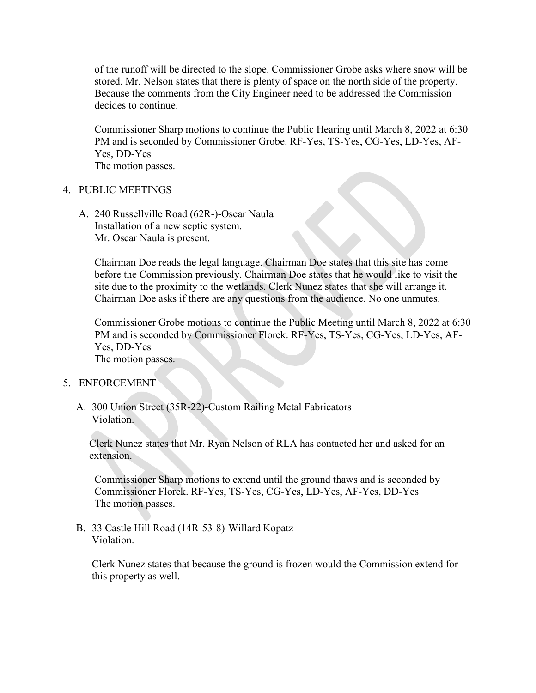of the runoff will be directed to the slope. Commissioner Grobe asks where snow will be stored. Mr. Nelson states that there is plenty of space on the north side of the property. Because the comments from the City Engineer need to be addressed the Commission decides to continue.

Commissioner Sharp motions to continue the Public Hearing until March 8, 2022 at 6:30 PM and is seconded by Commissioner Grobe. RF-Yes, TS-Yes, CG-Yes, LD-Yes, AF-Yes, DD-Yes The motion passes.

#### 4. PUBLIC MEETINGS

A. 240 Russellville Road (62R-)-Oscar Naula Installation of a new septic system. Mr. Oscar Naula is present.

Chairman Doe reads the legal language. Chairman Doe states that this site has come before the Commission previously. Chairman Doe states that he would like to visit the site due to the proximity to the wetlands. Clerk Nunez states that she will arrange it. Chairman Doe asks if there are any questions from the audience. No one unmutes.

Commissioner Grobe motions to continue the Public Meeting until March 8, 2022 at 6:30 PM and is seconded by Commissioner Florek. RF-Yes, TS-Yes, CG-Yes, LD-Yes, AF-Yes, DD-Yes The motion passes.

#### 5. ENFORCEMENT

A. 300 Union Street (35R-22)-Custom Railing Metal Fabricators Violation.

Clerk Nunez states that Mr. Ryan Nelson of RLA has contacted her and asked for an extension.

Commissioner Sharp motions to extend until the ground thaws and is seconded by Commissioner Florek. RF-Yes, TS-Yes, CG-Yes, LD-Yes, AF-Yes, DD-Yes The motion passes.

B. 33 Castle Hill Road (14R-53-8)-Willard Kopatz Violation.

Clerk Nunez states that because the ground is frozen would the Commission extend for this property as well.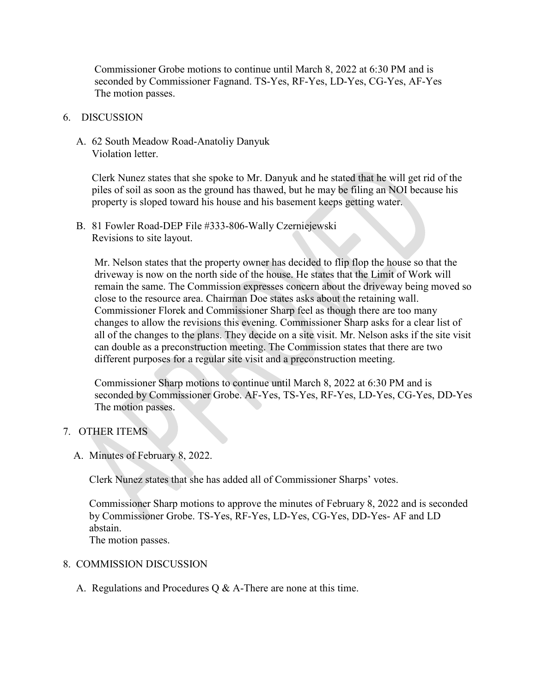Commissioner Grobe motions to continue until March 8, 2022 at 6:30 PM and is seconded by Commissioner Fagnand. TS-Yes, RF-Yes, LD-Yes, CG-Yes, AF-Yes The motion passes.

## 6. DISCUSSION

A. 62 South Meadow Road-Anatoliy Danyuk Violation letter.

Clerk Nunez states that she spoke to Mr. Danyuk and he stated that he will get rid of the piles of soil as soon as the ground has thawed, but he may be filing an NOI because his property is sloped toward his house and his basement keeps getting water.

B. 81 Fowler Road-DEP File #333-806-Wally Czerniejewski Revisions to site layout.

Mr. Nelson states that the property owner has decided to flip flop the house so that the driveway is now on the north side of the house. He states that the Limit of Work will remain the same. The Commission expresses concern about the driveway being moved so close to the resource area. Chairman Doe states asks about the retaining wall. Commissioner Florek and Commissioner Sharp feel as though there are too many changes to allow the revisions this evening. Commissioner Sharp asks for a clear list of all of the changes to the plans. They decide on a site visit. Mr. Nelson asks if the site visit can double as a preconstruction meeting. The Commission states that there are two different purposes for a regular site visit and a preconstruction meeting.

Commissioner Sharp motions to continue until March 8, 2022 at 6:30 PM and is seconded by Commissioner Grobe. AF-Yes, TS-Yes, RF-Yes, LD-Yes, CG-Yes, DD-Yes The motion passes.

## 7. OTHER ITEMS

A. Minutes of February 8, 2022.

Clerk Nunez states that she has added all of Commissioner Sharps' votes.

Commissioner Sharp motions to approve the minutes of February 8, 2022 and is seconded by Commissioner Grobe. TS-Yes, RF-Yes, LD-Yes, CG-Yes, DD-Yes- AF and LD abstain. The motion passes.

## 8. COMMISSION DISCUSSION

A. Regulations and Procedures Q & A-There are none at this time.